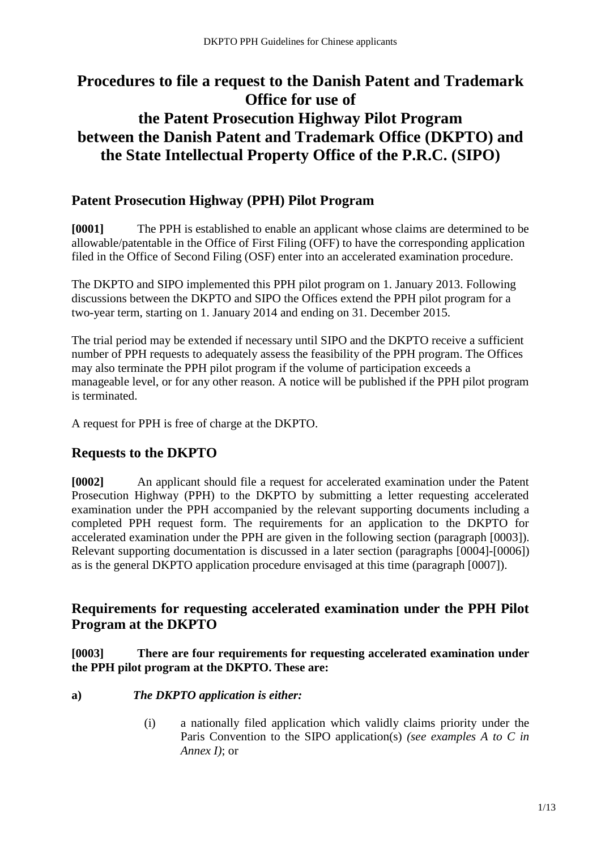# **Procedures to file a request to the Danish Patent and Trademark Office for use of the Patent Prosecution Highway Pilot Program between the Danish Patent and Trademark Office (DKPTO) and the State Intellectual Property Office of the P.R.C. (SIPO)**

## **Patent Prosecution Highway (PPH) Pilot Program**

**[0001]** The PPH is established to enable an applicant whose claims are determined to be allowable/patentable in the Office of First Filing (OFF) to have the corresponding application filed in the Office of Second Filing (OSF) enter into an accelerated examination procedure.

The DKPTO and SIPO implemented this PPH pilot program on 1. January 2013. Following discussions between the DKPTO and SIPO the Offices extend the PPH pilot program for a two-year term, starting on 1. January 2014 and ending on 31. December 2015.

The trial period may be extended if necessary until SIPO and the DKPTO receive a sufficient number of PPH requests to adequately assess the feasibility of the PPH program. The Offices may also terminate the PPH pilot program if the volume of participation exceeds a manageable level, or for any other reason. A notice will be published if the PPH pilot program is terminated.

A request for PPH is free of charge at the DKPTO.

## **Requests to the DKPTO**

**[0002]** An applicant should file a request for accelerated examination under the Patent Prosecution Highway (PPH) to the DKPTO by submitting a letter requesting accelerated examination under the PPH accompanied by the relevant supporting documents including a completed PPH request form. The requirements for an application to the DKPTO for accelerated examination under the PPH are given in the following section (paragraph [0003]). Relevant supporting documentation is discussed in a later section (paragraphs [0004]-[0006]) as is the general DKPTO application procedure envisaged at this time (paragraph [0007]).

## **Requirements for requesting accelerated examination under the PPH Pilot Program at the DKPTO**

**[0003] There are four requirements for requesting accelerated examination under the PPH pilot program at the DKPTO. These are:**

#### **a)** *The DKPTO application is either:*

(i) a nationally filed application which validly claims priority under the Paris Convention to the SIPO application(s) *(see examples A to C in Annex I)*; or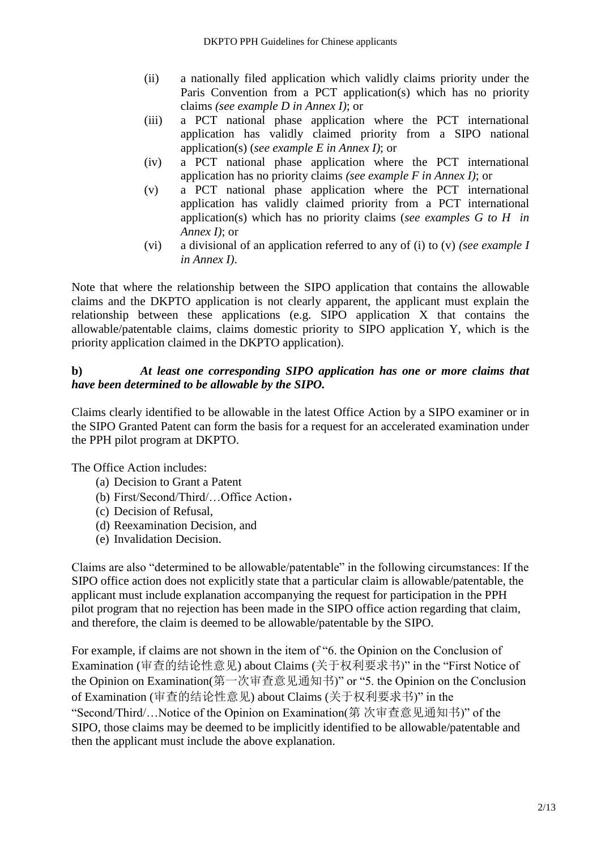- (ii) a nationally filed application which validly claims priority under the Paris Convention from a PCT application(s) which has no priority claims *(see example D in Annex I)*; or
- (iii) a PCT national phase application where the PCT international application has validly claimed priority from a SIPO national application(s) (*see example E in Annex I)*; or
- (iv) a PCT national phase application where the PCT international application has no priority claims *(see example F in Annex I)*; or
- (v) a PCT national phase application where the PCT international application has validly claimed priority from a PCT international application(s) which has no priority claims (*see examples G to H in Annex I)*; or
- (vi) a divisional of an application referred to any of (i) to (v) *(see example I in Annex I)*.

Note that where the relationship between the SIPO application that contains the allowable claims and the DKPTO application is not clearly apparent, the applicant must explain the relationship between these applications (e.g. SIPO application X that contains the allowable/patentable claims, claims domestic priority to SIPO application Y, which is the priority application claimed in the DKPTO application).

#### **b)** *At least one corresponding SIPO application has one or more claims that have been determined to be allowable by the SIPO.*

Claims clearly identified to be allowable in the latest Office Action by a SIPO examiner or in the SIPO Granted Patent can form the basis for a request for an accelerated examination under the PPH pilot program at DKPTO.

The Office Action includes:

- (a) Decision to Grant a Patent
- (b) First/Second/Third/…Office Action,
- (c) Decision of Refusal,
- (d) Reexamination Decision, and
- (e) Invalidation Decision.

Claims are also "determined to be allowable/patentable" in the following circumstances: If the SIPO office action does not explicitly state that a particular claim is allowable/patentable, the applicant must include explanation accompanying the request for participation in the PPH pilot program that no rejection has been made in the SIPO office action regarding that claim, and therefore, the claim is deemed to be allowable/patentable by the SIPO.

For example, if claims are not shown in the item of "6. the Opinion on the Conclusion of Examination (审查的结论性意见) about Claims (关于权利要求书)" in the "First Notice of the Opinion on Examination(第一次审查意见通知书)" or "5. the Opinion on the Conclusion of Examination (审查的结论性意见) about Claims (关于权利要求书)" in the "Second/Third/…Notice of the Opinion on Examination(第 次审查意见通知书)" of the SIPO, those claims may be deemed to be implicitly identified to be allowable/patentable and then the applicant must include the above explanation.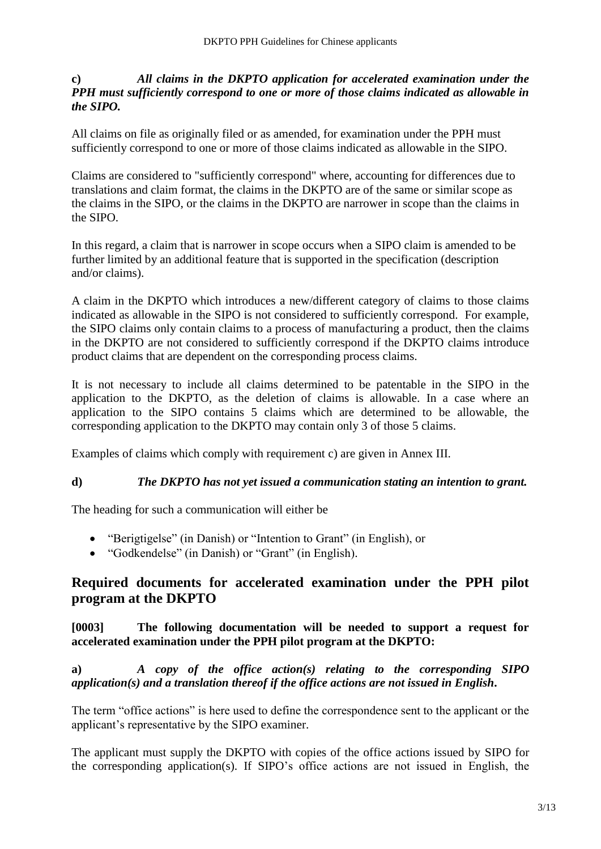#### **c)** *All claims in the DKPTO application for accelerated examination under the PPH must sufficiently correspond to one or more of those claims indicated as allowable in the SIPO.*

All claims on file as originally filed or as amended, for examination under the PPH must sufficiently correspond to one or more of those claims indicated as allowable in the SIPO.

Claims are considered to "sufficiently correspond" where, accounting for differences due to translations and claim format, the claims in the DKPTO are of the same or similar scope as the claims in the SIPO, or the claims in the DKPTO are narrower in scope than the claims in the SIPO.

In this regard, a claim that is narrower in scope occurs when a SIPO claim is amended to be further limited by an additional feature that is supported in the specification (description and/or claims).

A claim in the DKPTO which introduces a new/different category of claims to those claims indicated as allowable in the SIPO is not considered to sufficiently correspond. For example, the SIPO claims only contain claims to a process of manufacturing a product, then the claims in the DKPTO are not considered to sufficiently correspond if the DKPTO claims introduce product claims that are dependent on the corresponding process claims.

It is not necessary to include all claims determined to be patentable in the SIPO in the application to the DKPTO, as the deletion of claims is allowable. In a case where an application to the SIPO contains 5 claims which are determined to be allowable, the corresponding application to the DKPTO may contain only 3 of those 5 claims.

Examples of claims which comply with requirement c) are given in Annex III.

#### **d)** *The DKPTO has not yet issued a communication stating an intention to grant.*

The heading for such a communication will either be

- "Berigtigelse" (in Danish) or "Intention to Grant" (in English), or
- "Godkendelse" (in Danish) or "Grant" (in English).

## **Required documents for accelerated examination under the PPH pilot program at the DKPTO**

#### **[0003] The following documentation will be needed to support a request for accelerated examination under the PPH pilot program at the DKPTO:**

**a)** *A copy of the office action(s) relating to the corresponding SIPO application(s) and a translation thereof if the office actions are not issued in English***.** 

The term "office actions" is here used to define the correspondence sent to the applicant or the applicant's representative by the SIPO examiner.

The applicant must supply the DKPTO with copies of the office actions issued by SIPO for the corresponding application(s). If SIPO's office actions are not issued in English, the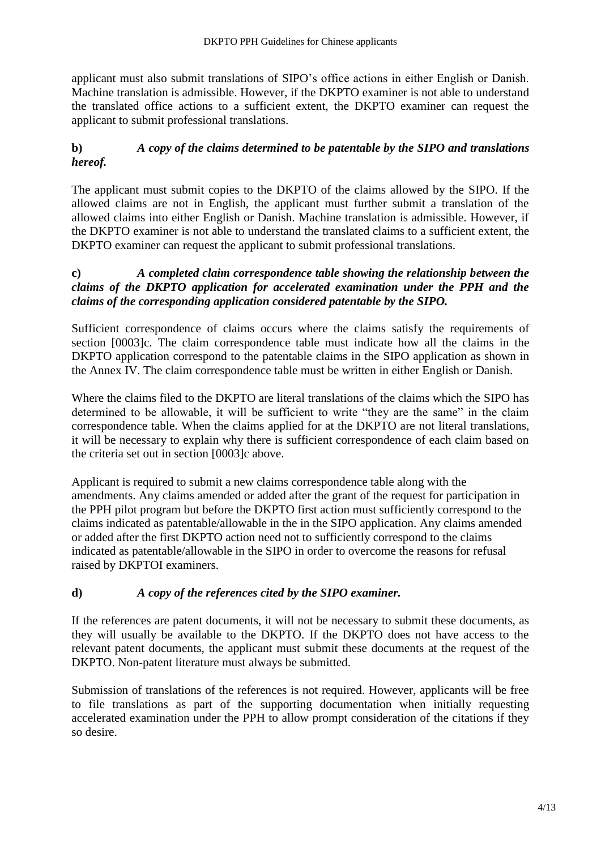applicant must also submit translations of SIPO's office actions in either English or Danish. Machine translation is admissible. However, if the DKPTO examiner is not able to understand the translated office actions to a sufficient extent, the DKPTO examiner can request the applicant to submit professional translations.

#### **b)** *A copy of the claims determined to be patentable by the SIPO and translations hereof.*

The applicant must submit copies to the DKPTO of the claims allowed by the SIPO. If the allowed claims are not in English, the applicant must further submit a translation of the allowed claims into either English or Danish. Machine translation is admissible. However, if the DKPTO examiner is not able to understand the translated claims to a sufficient extent, the DKPTO examiner can request the applicant to submit professional translations.

#### **c)** *A completed claim correspondence table showing the relationship between the claims of the DKPTO application for accelerated examination under the PPH and the claims of the corresponding application considered patentable by the SIPO.*

Sufficient correspondence of claims occurs where the claims satisfy the requirements of section [0003]c. The claim correspondence table must indicate how all the claims in the DKPTO application correspond to the patentable claims in the SIPO application as shown in the Annex IV. The claim correspondence table must be written in either English or Danish.

Where the claims filed to the DKPTO are literal translations of the claims which the SIPO has determined to be allowable, it will be sufficient to write "they are the same" in the claim correspondence table. When the claims applied for at the DKPTO are not literal translations, it will be necessary to explain why there is sufficient correspondence of each claim based on the criteria set out in section [0003]c above.

Applicant is required to submit a new claims correspondence table along with the amendments. Any claims amended or added after the grant of the request for participation in the PPH pilot program but before the DKPTO first action must sufficiently correspond to the claims indicated as patentable/allowable in the in the SIPO application. Any claims amended or added after the first DKPTO action need not to sufficiently correspond to the claims indicated as patentable/allowable in the SIPO in order to overcome the reasons for refusal raised by DKPTOI examiners.

#### **d)** *A copy of the references cited by the SIPO examiner.*

If the references are patent documents, it will not be necessary to submit these documents, as they will usually be available to the DKPTO. If the DKPTO does not have access to the relevant patent documents, the applicant must submit these documents at the request of the DKPTO. Non-patent literature must always be submitted.

Submission of translations of the references is not required. However, applicants will be free to file translations as part of the supporting documentation when initially requesting accelerated examination under the PPH to allow prompt consideration of the citations if they so desire.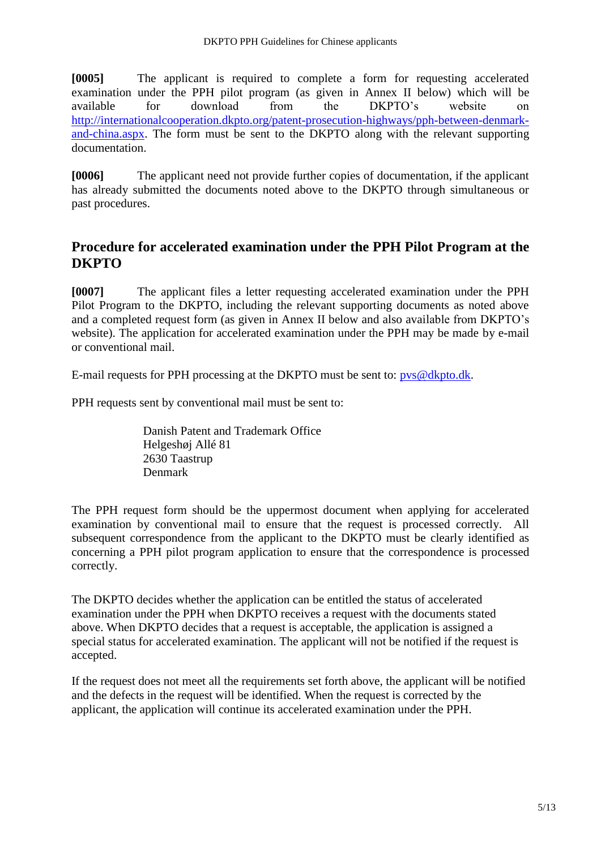**[0005]** The applicant is required to complete a form for requesting accelerated examination under the PPH pilot program (as given in Annex II below) which will be available for download from the DKPTO's website on [http://internationalcooperation.dkpto.org/patent-prosecution-highways/pph-between-denmark](http://internationalcooperation.dkpto.org/patent-prosecution-highways/pph-between-denmark-and-china.aspx)[and-china.aspx.](http://internationalcooperation.dkpto.org/patent-prosecution-highways/pph-between-denmark-and-china.aspx) The form must be sent to the DKPTO along with the relevant supporting documentation.

**[0006]** The applicant need not provide further copies of documentation, if the applicant has already submitted the documents noted above to the DKPTO through simultaneous or past procedures.

## **Procedure for accelerated examination under the PPH Pilot Program at the DKPTO**

**[0007]** The applicant files a letter requesting accelerated examination under the PPH Pilot Program to the DKPTO, including the relevant supporting documents as noted above and a completed request form (as given in Annex II below and also available from DKPTO's website). The application for accelerated examination under the PPH may be made by e-mail or conventional mail.

E-mail requests for PPH processing at the DKPTO must be sent to: [pvs@dkpto.dk.](mailto:pvs@dkpto.dk)

PPH requests sent by conventional mail must be sent to:

Danish Patent and Trademark Office Helgeshøj Allé 81 2630 Taastrup Denmark

The PPH request form should be the uppermost document when applying for accelerated examination by conventional mail to ensure that the request is processed correctly. All subsequent correspondence from the applicant to the DKPTO must be clearly identified as concerning a PPH pilot program application to ensure that the correspondence is processed correctly.

The DKPTO decides whether the application can be entitled the status of accelerated examination under the PPH when DKPTO receives a request with the documents stated above. When DKPTO decides that a request is acceptable, the application is assigned a special status for accelerated examination. The applicant will not be notified if the request is accepted.

If the request does not meet all the requirements set forth above, the applicant will be notified and the defects in the request will be identified. When the request is corrected by the applicant, the application will continue its accelerated examination under the PPH.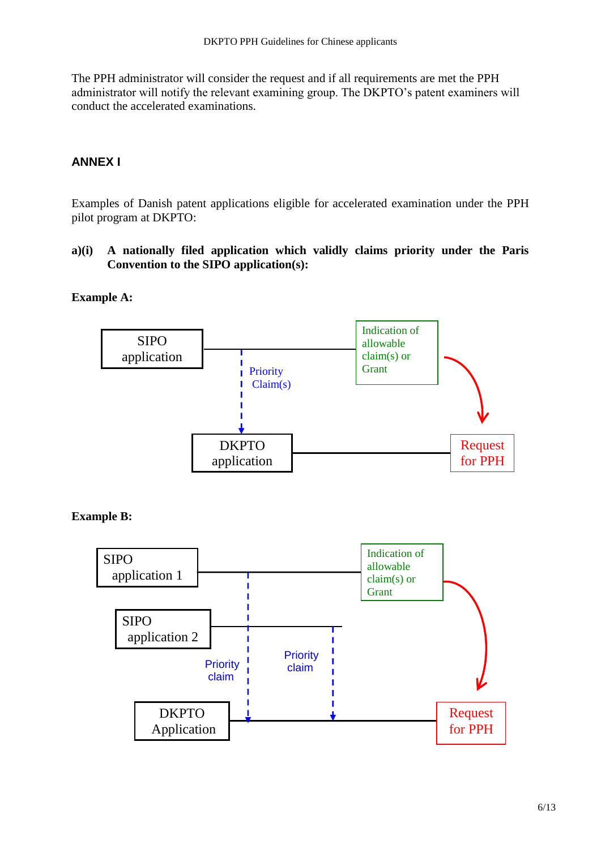The PPH administrator will consider the request and if all requirements are met the PPH administrator will notify the relevant examining group. The DKPTO's patent examiners will conduct the accelerated examinations.

#### **ANNEX I**

Examples of Danish patent applications eligible for accelerated examination under the PPH pilot program at DKPTO:

**a)(i) A nationally filed application which validly claims priority under the Paris Convention to the SIPO application(s):**

#### **Example A:**



**Example B:**

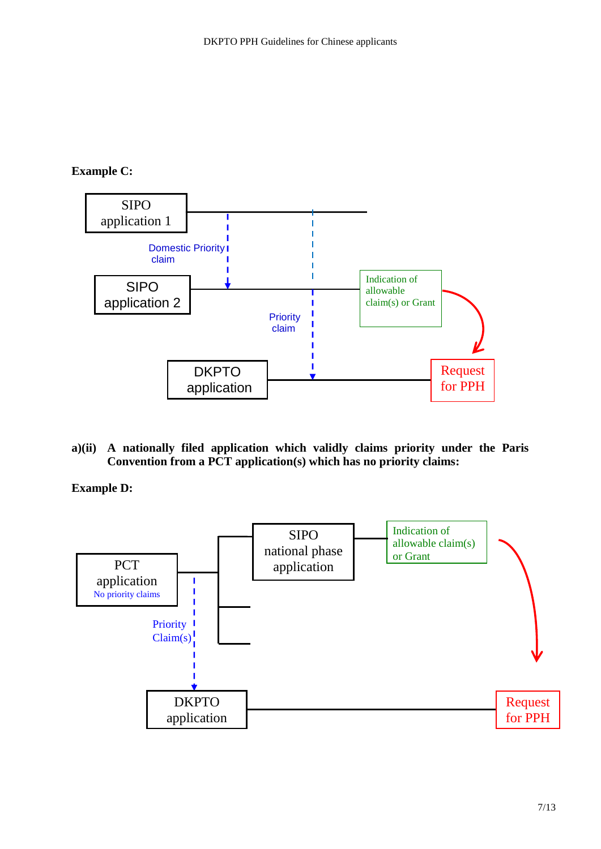#### **Example C:**



**a)(ii) A nationally filed application which validly claims priority under the Paris Convention from a PCT application(s) which has no priority claims:**

**Example D:**

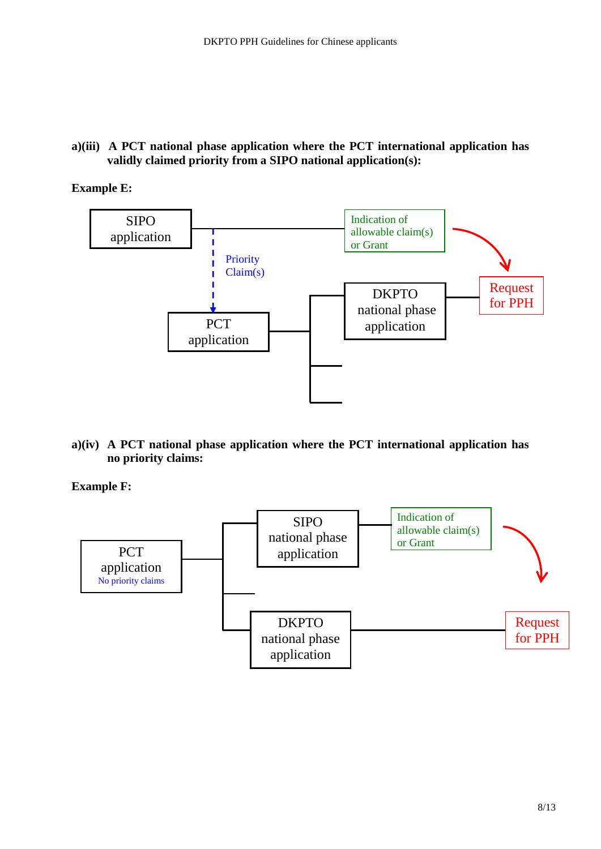**a)(iii) A PCT national phase application where the PCT international application has validly claimed priority from a SIPO national application(s):**

#### **Example E:**



**a)(iv) A PCT national phase application where the PCT international application has no priority claims:**

**Example F:**

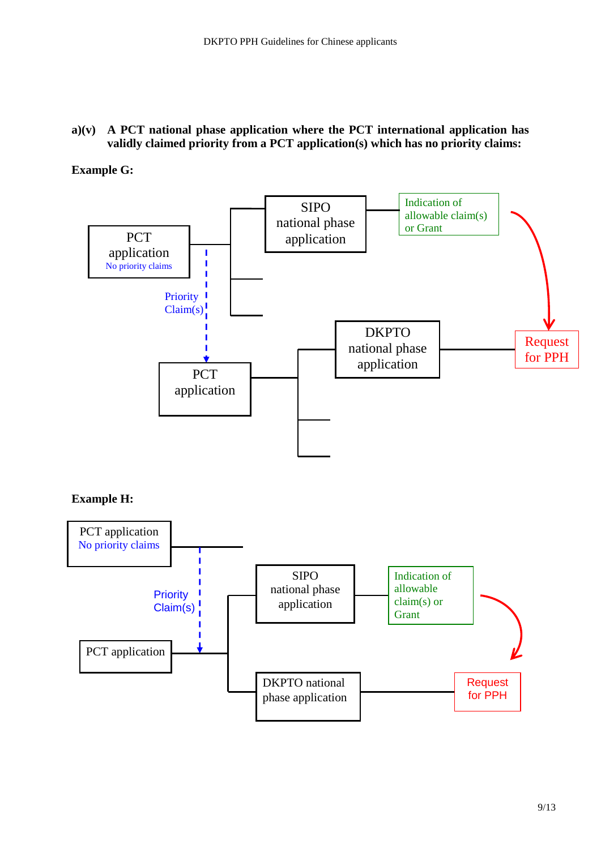#### **a)(v) A PCT national phase application where the PCT international application has validly claimed priority from a PCT application(s) which has no priority claims:**

**Example G:** 



**Example H:** 

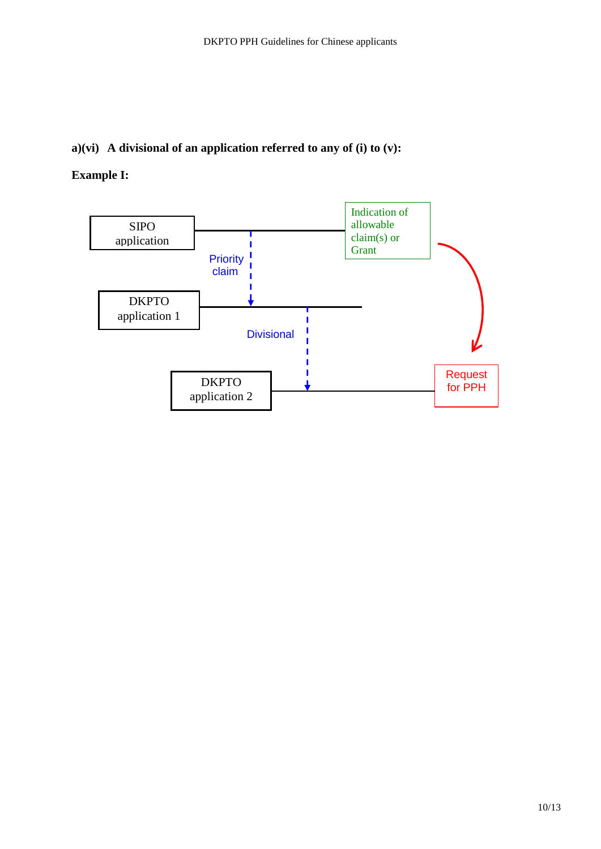#### **a)(vi) A divisional of an application referred to any of (i) to (v):**

### **Example I:**

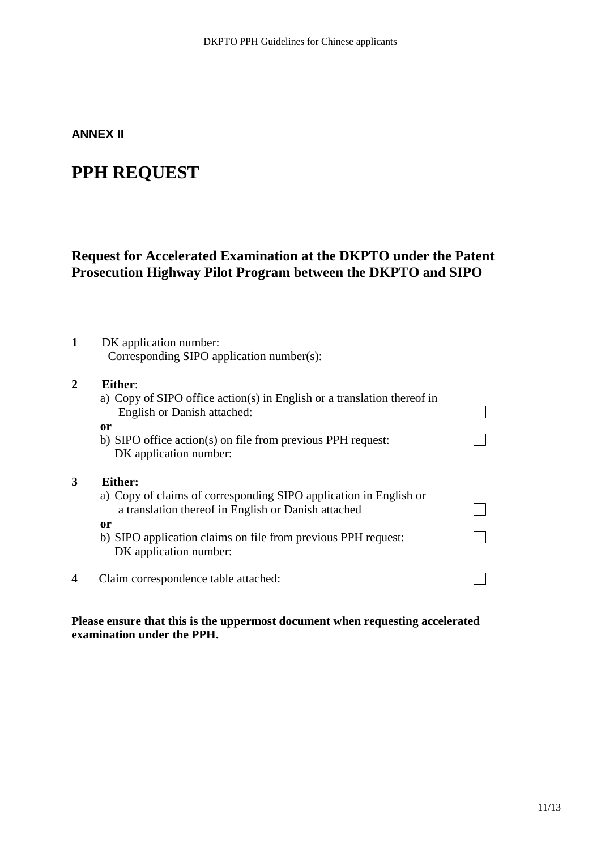#### **ANNEX II**

# **PPH REQUEST**

## **Request for Accelerated Examination at the DKPTO under the Patent Prosecution Highway Pilot Program between the DKPTO and SIPO**

#### **1** DK application number: Corresponding SIPO application number(s):

#### **2 Either**:

**3 Either:**

|   | a) Copy of SIPO office action(s) in English or a translation thereof in<br>English or Danish attached:                   |  |
|---|--------------------------------------------------------------------------------------------------------------------------|--|
|   | or                                                                                                                       |  |
|   | b) SIPO office action(s) on file from previous PPH request:<br>DK application number:                                    |  |
| 3 | Either:                                                                                                                  |  |
|   | a) Copy of claims of corresponding SIPO application in English or<br>a translation thereof in English or Danish attached |  |
|   | or                                                                                                                       |  |
|   | b) SIPO application claims on file from previous PPH request:<br>DK application number:                                  |  |
| 4 | Claim correspondence table attached:                                                                                     |  |
|   |                                                                                                                          |  |

**Please ensure that this is the uppermost document when requesting accelerated examination under the PPH.**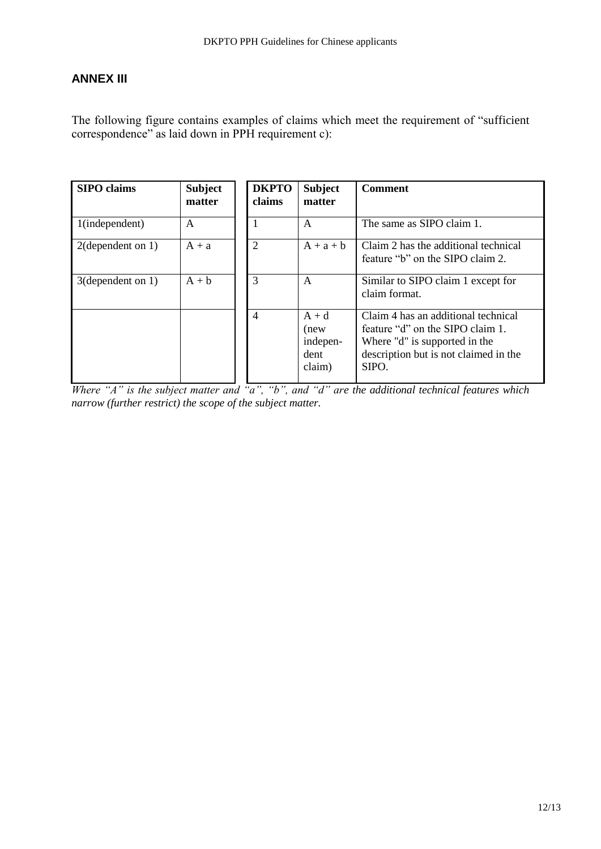#### **ANNEX III**

The following figure contains examples of claims which meet the requirement of "sufficient correspondence" as laid down in PPH requirement c):

| <b>SIPO</b> claims   | <b>Subject</b><br>matter | <b>DKPTO</b><br>claims | <b>Subject</b><br>matter                      | <b>Comment</b>                                                                                                                                             |
|----------------------|--------------------------|------------------------|-----------------------------------------------|------------------------------------------------------------------------------------------------------------------------------------------------------------|
| 1(independent)       | $\mathsf{A}$             |                        | $\mathsf{A}$                                  | The same as SIPO claim 1.                                                                                                                                  |
| $2$ (dependent on 1) | $A + a$                  | $\overline{2}$         | $A + a + b$                                   | Claim 2 has the additional technical<br>feature "b" on the SIPO claim 2.                                                                                   |
| 3(dependent on 1)    | $A + b$                  | 3                      | A                                             | Similar to SIPO claim 1 except for<br>claim format.                                                                                                        |
|                      |                          | $\overline{4}$         | $A + d$<br>(new<br>indepen-<br>dent<br>claim) | Claim 4 has an additional technical<br>feature "d" on the SIPO claim 1.<br>Where "d" is supported in the<br>description but is not claimed in the<br>SIPO. |

*Where "A" is the subject matter and "a", "b", and "d" are the additional technical features which narrow (further restrict) the scope of the subject matter.*